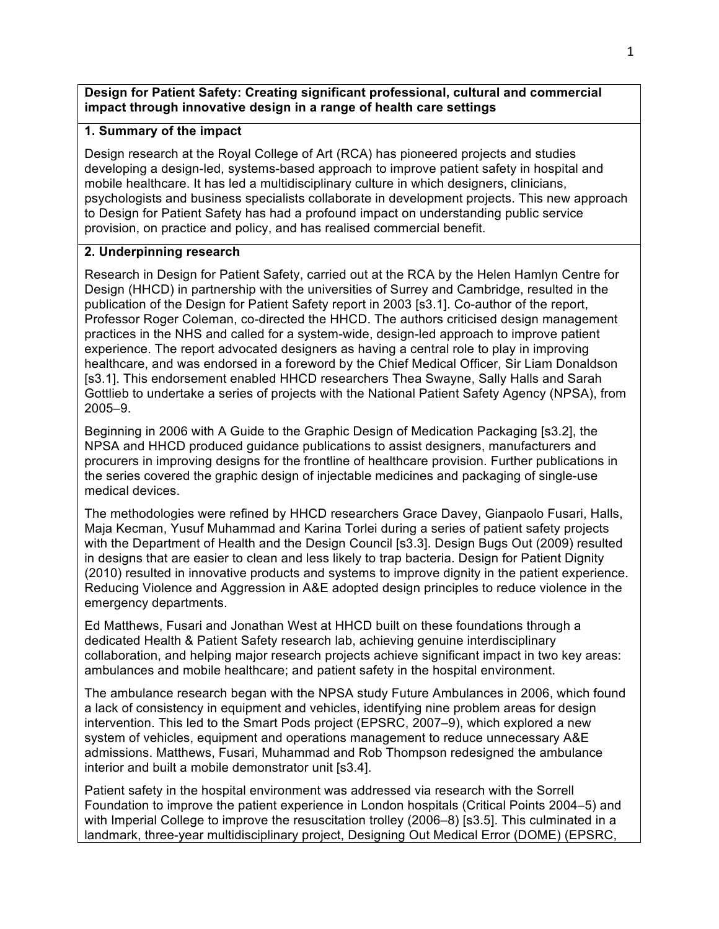#### **Design for Patient Safety: Creating significant professional, cultural and commercial impact through innovative design in a range of health care settings**

### **1. Summary of the impact**

Design research at the Royal College of Art (RCA) has pioneered projects and studies developing a design-led, systems-based approach to improve patient safety in hospital and mobile healthcare. It has led a multidisciplinary culture in which designers, clinicians, psychologists and business specialists collaborate in development projects. This new approach to Design for Patient Safety has had a profound impact on understanding public service provision, on practice and policy, and has realised commercial benefit.

### **2. Underpinning research**

Research in Design for Patient Safety, carried out at the RCA by the Helen Hamlyn Centre for Design (HHCD) in partnership with the universities of Surrey and Cambridge, resulted in the publication of the Design for Patient Safety report in 2003 [s3.1]. Co-author of the report, Professor Roger Coleman, co-directed the HHCD. The authors criticised design management practices in the NHS and called for a system-wide, design-led approach to improve patient experience. The report advocated designers as having a central role to play in improving healthcare, and was endorsed in a foreword by the Chief Medical Officer, Sir Liam Donaldson [s3.1]. This endorsement enabled HHCD researchers Thea Swayne, Sally Halls and Sarah Gottlieb to undertake a series of projects with the National Patient Safety Agency (NPSA), from 2005–9.

Beginning in 2006 with A Guide to the Graphic Design of Medication Packaging [s3.2], the NPSA and HHCD produced guidance publications to assist designers, manufacturers and procurers in improving designs for the frontline of healthcare provision. Further publications in the series covered the graphic design of injectable medicines and packaging of single-use medical devices.

The methodologies were refined by HHCD researchers Grace Davey, Gianpaolo Fusari, Halls, Maja Kecman, Yusuf Muhammad and Karina Torlei during a series of patient safety projects with the Department of Health and the Design Council [s3.3]. Design Bugs Out (2009) resulted in designs that are easier to clean and less likely to trap bacteria. Design for Patient Dignity (2010) resulted in innovative products and systems to improve dignity in the patient experience. Reducing Violence and Aggression in A&E adopted design principles to reduce violence in the emergency departments.

Ed Matthews, Fusari and Jonathan West at HHCD built on these foundations through a dedicated Health & Patient Safety research lab, achieving genuine interdisciplinary collaboration, and helping major research projects achieve significant impact in two key areas: ambulances and mobile healthcare; and patient safety in the hospital environment.

The ambulance research began with the NPSA study Future Ambulances in 2006, which found a lack of consistency in equipment and vehicles, identifying nine problem areas for design intervention. This led to the Smart Pods project (EPSRC, 2007–9), which explored a new system of vehicles, equipment and operations management to reduce unnecessary A&E admissions. Matthews, Fusari, Muhammad and Rob Thompson redesigned the ambulance interior and built a mobile demonstrator unit [s3.4].

Patient safety in the hospital environment was addressed via research with the Sorrell Foundation to improve the patient experience in London hospitals (Critical Points 2004–5) and with Imperial College to improve the resuscitation trolley (2006–8) [s3.5]. This culminated in a landmark, three-year multidisciplinary project, Designing Out Medical Error (DOME) (EPSRC,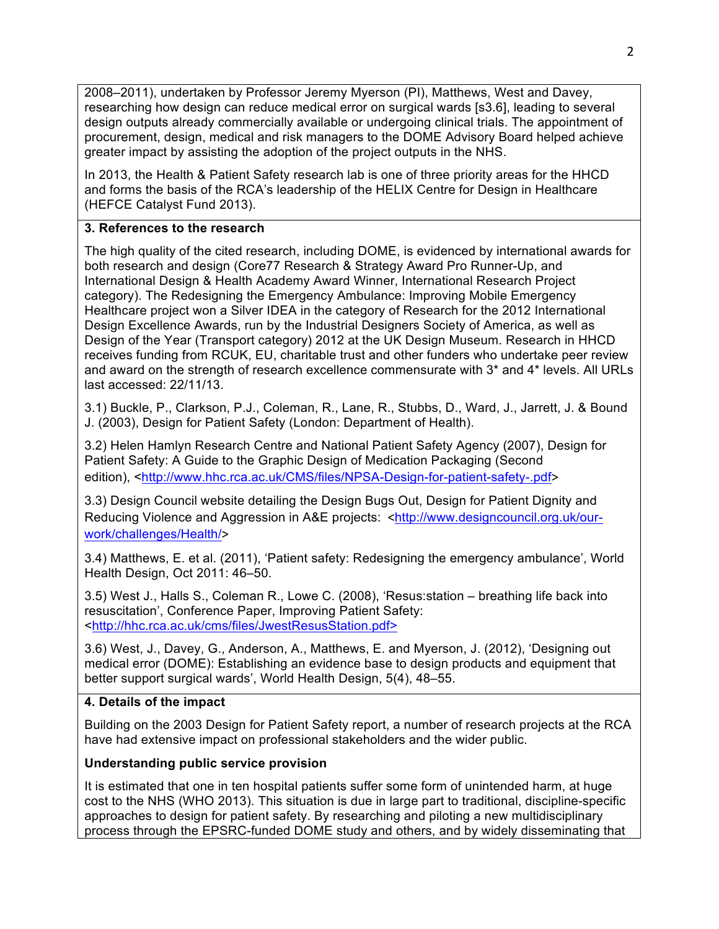2008–2011), undertaken by Professor Jeremy Myerson (PI), Matthews, West and Davey, researching how design can reduce medical error on surgical wards [s3.6], leading to several design outputs already commercially available or undergoing clinical trials. The appointment of procurement, design, medical and risk managers to the DOME Advisory Board helped achieve greater impact by assisting the adoption of the project outputs in the NHS.

In 2013, the Health & Patient Safety research lab is one of three priority areas for the HHCD and forms the basis of the RCA's leadership of the HELIX Centre for Design in Healthcare (HEFCE Catalyst Fund 2013).

# **3. References to the research**

The high quality of the cited research, including DOME, is evidenced by international awards for both research and design (Core77 Research & Strategy Award Pro Runner-Up, and International Design & Health Academy Award Winner, International Research Project category). The Redesigning the Emergency Ambulance: Improving Mobile Emergency Healthcare project won a Silver IDEA in the category of Research for the 2012 International Design Excellence Awards, run by the Industrial Designers Society of America, as well as Design of the Year (Transport category) 2012 at the UK Design Museum. Research in HHCD receives funding from RCUK, EU, charitable trust and other funders who undertake peer review and award on the strength of research excellence commensurate with 3\* and 4\* levels. All URLs last accessed: 22/11/13.

3.1) Buckle, P., Clarkson, P.J., Coleman, R., Lane, R., Stubbs, D., Ward, J., Jarrett, J. & Bound J. (2003), Design for Patient Safety (London: Department of Health).

3.2) Helen Hamlyn Research Centre and National Patient Safety Agency (2007), Design for Patient Safety: A Guide to the Graphic Design of Medication Packaging (Second edition), <http://www.hhc.rca.ac.uk/CMS/files/NPSA-Design-for-patient-safety-.pdf>

3.3) Design Council website detailing the Design Bugs Out, Design for Patient Dignity and Reducing Violence and Aggression in A&E projects: <http://www.designcouncil.org.uk/ourwork/challenges/Health/>

3.4) Matthews, E. et al. (2011), 'Patient safety: Redesigning the emergency ambulance', World Health Design, Oct 2011: 46–50.

3.5) West J., Halls S., Coleman R., Lowe C. (2008), 'Resus:station – breathing life back into resuscitation', Conference Paper, Improving Patient Safety: <http://hhc.rca.ac.uk/cms/files/JwestResusStation.pdf>

3.6) West, J., Davey, G., Anderson, A., Matthews, E. and Myerson, J. (2012), 'Designing out medical error (DOME): Establishing an evidence base to design products and equipment that better support surgical wards', World Health Design, 5(4), 48–55.

# **4. Details of the impact**

Building on the 2003 Design for Patient Safety report, a number of research projects at the RCA have had extensive impact on professional stakeholders and the wider public.

# **Understanding public service provision**

It is estimated that one in ten hospital patients suffer some form of unintended harm, at huge cost to the NHS (WHO 2013). This situation is due in large part to traditional, discipline-specific approaches to design for patient safety. By researching and piloting a new multidisciplinary process through the EPSRC-funded DOME study and others, and by widely disseminating that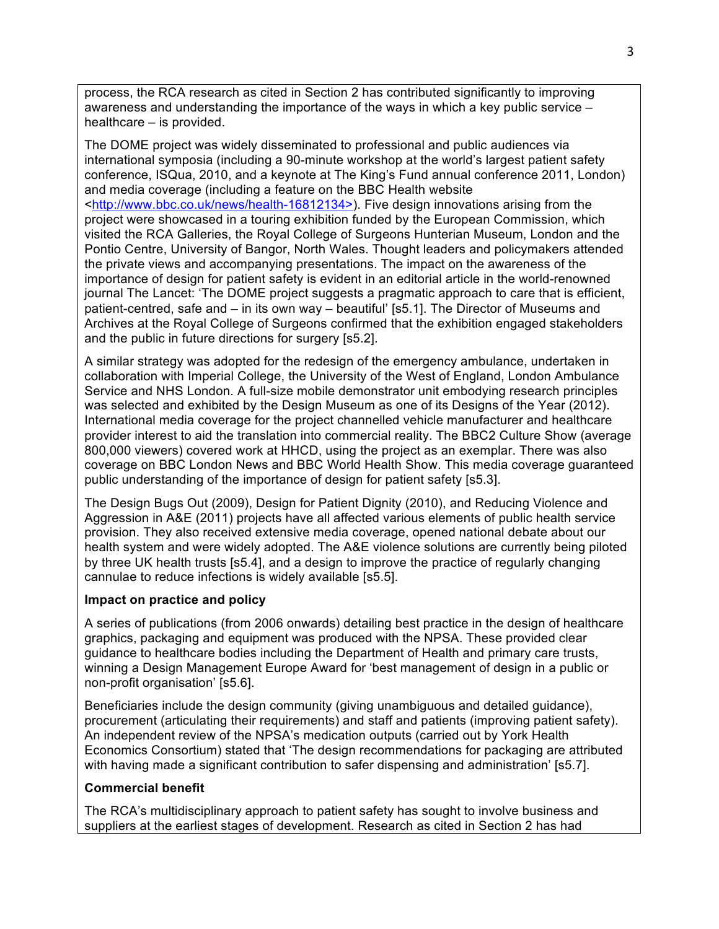process, the RCA research as cited in Section 2 has contributed significantly to improving awareness and understanding the importance of the ways in which a key public service – healthcare – is provided.

The DOME project was widely disseminated to professional and public audiences via international symposia (including a 90-minute workshop at the world's largest patient safety conference, ISQua, 2010, and a keynote at The King's Fund annual conference 2011, London) and media coverage (including a feature on the BBC Health website <http://www.bbc.co.uk/news/health-16812134>). Five design innovations arising from the project were showcased in a touring exhibition funded by the European Commission, which visited the RCA Galleries, the Royal College of Surgeons Hunterian Museum, London and the Pontio Centre, University of Bangor, North Wales. Thought leaders and policymakers attended the private views and accompanying presentations. The impact on the awareness of the importance of design for patient safety is evident in an editorial article in the world-renowned journal The Lancet: 'The DOME project suggests a pragmatic approach to care that is efficient, patient-centred, safe and – in its own way – beautiful' [s5.1]. The Director of Museums and Archives at the Royal College of Surgeons confirmed that the exhibition engaged stakeholders and the public in future directions for surgery [s5.2].

A similar strategy was adopted for the redesign of the emergency ambulance, undertaken in collaboration with Imperial College, the University of the West of England, London Ambulance Service and NHS London. A full-size mobile demonstrator unit embodying research principles was selected and exhibited by the Design Museum as one of its Designs of the Year (2012). International media coverage for the project channelled vehicle manufacturer and healthcare provider interest to aid the translation into commercial reality. The BBC2 Culture Show (average 800,000 viewers) covered work at HHCD, using the project as an exemplar. There was also coverage on BBC London News and BBC World Health Show. This media coverage guaranteed public understanding of the importance of design for patient safety [s5.3].

The Design Bugs Out (2009), Design for Patient Dignity (2010), and Reducing Violence and Aggression in A&E (2011) projects have all affected various elements of public health service provision. They also received extensive media coverage, opened national debate about our health system and were widely adopted. The A&E violence solutions are currently being piloted by three UK health trusts [s5.4], and a design to improve the practice of regularly changing cannulae to reduce infections is widely available [s5.5].

#### **Impact on practice and policy**

A series of publications (from 2006 onwards) detailing best practice in the design of healthcare graphics, packaging and equipment was produced with the NPSA. These provided clear guidance to healthcare bodies including the Department of Health and primary care trusts, winning a Design Management Europe Award for 'best management of design in a public or non-profit organisation' [s5.6].

Beneficiaries include the design community (giving unambiguous and detailed guidance), procurement (articulating their requirements) and staff and patients (improving patient safety). An independent review of the NPSA's medication outputs (carried out by York Health Economics Consortium) stated that 'The design recommendations for packaging are attributed with having made a significant contribution to safer dispensing and administration' [s5.7].

#### **Commercial benefit**

The RCA's multidisciplinary approach to patient safety has sought to involve business and suppliers at the earliest stages of development. Research as cited in Section 2 has had